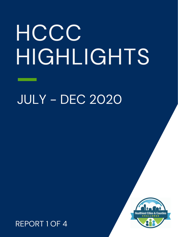# HCCC HIGHLIGHTS

JULY - DEC 2020

#### REPORT 1 OF 4

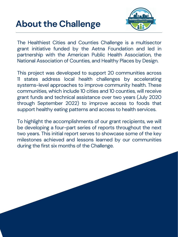

# **About the Challenge**

The Healthiest Cities and Counties Challenge is a multisector grant initiative funded by the Aetna Foundation and led in partnership with the American Public Health Association, the National Association of Counties, and Healthy Places by Design.

This project was developed to support 20 communities across 11 states address local health challenges by accelerating systems-level approaches to improve community health. These communities, which include 10 cities and 10 counties, will receive grant funds and technical assistance over two years (July 2020 through September 2022) to improve access to foods that support healthy eating patterns and access to health services.

To highlight the accomplishments of our grant recipients, we will be developing a four-part series of reports throughout the next two years. This initial report serves to showcase some of the key milestones achieved and lessons learned by our communities during the first six months of the Challenge.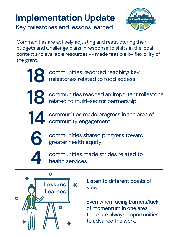# **Implementation Update**



Communities are actively adjusting and restructuring their budgets and Challenge plans in response to shifts in the local context and available resources -- made feasible by flexibility of the grant.

communities made progress in the area of 14 communities made progress



Key milestones and lessons learned

communities made strides related to **4** health services

communities reached an important milestone related to multi-sector partnership **18**

> communities shared progress toward greater health equity



Listen to different points of view.



Even when facing barriers/lack of momentum in one area, there are always opportunities to advance the work.

**6**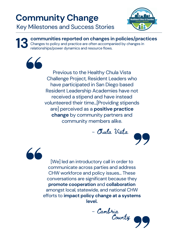### **Community Change** Key Milestones and Success Stories



**communities reported on changes in policies/practices** Changes to policy and practice are often accompanied by changes in relationships/power dynamics and resource flows. **13**



Previous to the Healthy Chula Vista Challenge Project, Resident Leaders who have participated in San Diego based Resident Leadership Academies have not received a stipend and have instead volunteered their time...[Providing stipends are] perceived as a **positive practice change** by community partners and community members alike.

# - Chula Vista





[We] led an introductory call in order to communicate across parties and address CHW workforce and policy issues... These conversations are significant because they **promote cooperation** and **collaboration** amongst local, statewide, and national CHW efforts to **impact policy change at a systems level.**

- Cambria County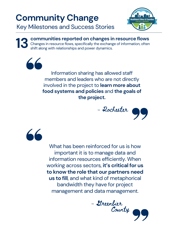Information sharing has allowed staff members and leaders who are not directly involved in the project to **learn more about food systems and policies** and **the goals of the project.**





What has been reinforced for us is how important it is to manage data and information resources efficiently. When working across sectors, **it's critical for us to know the role that our partners need us to fill**, and what kind of metaphorical bandwidth they have for project management and data management.

- Greenbier County

### **Community Change** Key Milestones and Success Stories



**communities reported on changes in resource flows** Changes in resource flows, specifically the exchange of information, often shift along with relationships and power dynamics.

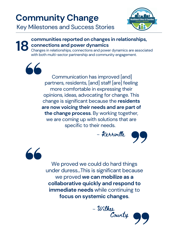#### **communities reported on changes in relationships, connections and power dynamics 18**

Changes in relationships, connections and power dynamics are associated with both multi-sector partnership and community engagement.

> Communication has improved [and] partners, residents, [and] staff [are] feeling more comfortable in expressing their opinions, ideas, advocating for change. This change is significant because the **residents are now voicing their needs and are part of the change process**. By working together, we are coming up with solutions that are

> > specific to their needs.



We proved we could do hard things under duress...This is significant because we proved **we can mobilize as a collaborative quickly and respond to immediate needs** while continuing to **focus on systemic changes**.



# **Community Change**

 $\begin{array}{c} 66 \end{array}$ 

66

Key Milestones and Success Stories

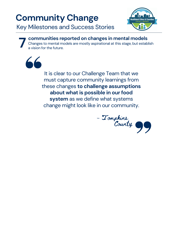It is clear to our Challenge Team that we must capture community learnings from these changes **to challenge assumptions about what is possible in ourfood system** as we define what systems change might look like in our community.

**7 communities reported on changes in mental models** Changes to mental models are mostly aspirational at this stage, but establish a vision for the future.



- Tompkins



# **Community Change**

Key Milestones and Success Stories

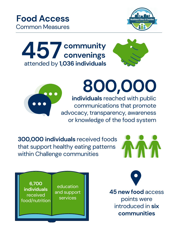**300,000 individuals** received foods that support healthy eating patterns within Challenge communities

### **individuals** reached with public communications that promote advocacy, transparency, awareness or knowledge of the food system **800,000**

# **Food Access**

Common Measures











**45 new food** access points were introduced in **six communities**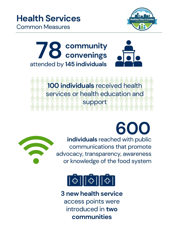**individuals** reached with public communications that promote advocacy, transparency, awareness or knowledge of the food system





## **Health Services**

Common Measures





**3 new health service** access points were introduced in **two communities**

**100 individuals** received health services or health education and support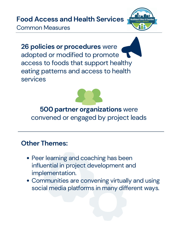**26 policies or procedures** were adopted or modified to promote access to foods that support healthy eating patterns and access to health services

- Peer learning and coaching has been influential in project development and implementation.
- Communities are convening virtually and using social media platforms in many different ways.

#### **Food Access and Health Services**



Common Measures



#### **Other Themes:**